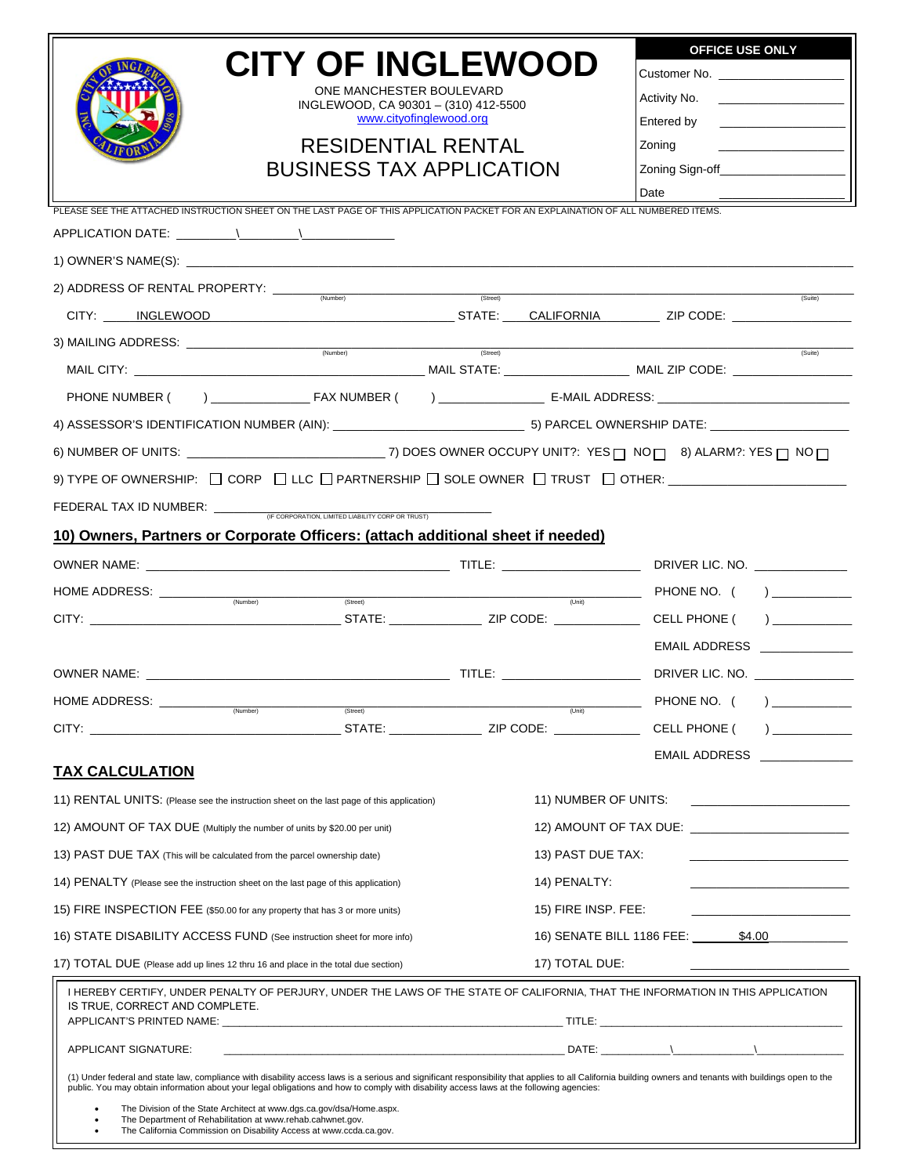|                                                                                                                                                                    |                                                                                                                                                                                                                                                                                                                                                       |                                   | <b>OFFICE USE ONLY</b>                                                                                                                                                                                                                                                                                                                                                                                                                                                                     |
|--------------------------------------------------------------------------------------------------------------------------------------------------------------------|-------------------------------------------------------------------------------------------------------------------------------------------------------------------------------------------------------------------------------------------------------------------------------------------------------------------------------------------------------|-----------------------------------|--------------------------------------------------------------------------------------------------------------------------------------------------------------------------------------------------------------------------------------------------------------------------------------------------------------------------------------------------------------------------------------------------------------------------------------------------------------------------------------------|
|                                                                                                                                                                    | <b>CITY OF INGLEWOOD</b>                                                                                                                                                                                                                                                                                                                              |                                   |                                                                                                                                                                                                                                                                                                                                                                                                                                                                                            |
|                                                                                                                                                                    | ONE MANCHESTER BOULEVARD<br>INGLEWOOD, CA 90301 - (310) 412-5500                                                                                                                                                                                                                                                                                      |                                   |                                                                                                                                                                                                                                                                                                                                                                                                                                                                                            |
|                                                                                                                                                                    | www.cityofinglewood.org                                                                                                                                                                                                                                                                                                                               |                                   |                                                                                                                                                                                                                                                                                                                                                                                                                                                                                            |
|                                                                                                                                                                    | <b>RESIDENTIAL RENTAL</b>                                                                                                                                                                                                                                                                                                                             |                                   |                                                                                                                                                                                                                                                                                                                                                                                                                                                                                            |
|                                                                                                                                                                    | <b>BUSINESS TAX APPLICATION</b>                                                                                                                                                                                                                                                                                                                       |                                   | Zoning Sign-off______________________                                                                                                                                                                                                                                                                                                                                                                                                                                                      |
|                                                                                                                                                                    | PLEASE SEE THE ATTACHED INSTRUCTION SHEET ON THE LAST PAGE OF THIS APPLICATION PACKET FOR AN EXPLAINATION OF ALL NUMBERED ITEMS.                                                                                                                                                                                                                      |                                   | Date                                                                                                                                                                                                                                                                                                                                                                                                                                                                                       |
|                                                                                                                                                                    |                                                                                                                                                                                                                                                                                                                                                       |                                   |                                                                                                                                                                                                                                                                                                                                                                                                                                                                                            |
|                                                                                                                                                                    |                                                                                                                                                                                                                                                                                                                                                       |                                   |                                                                                                                                                                                                                                                                                                                                                                                                                                                                                            |
|                                                                                                                                                                    |                                                                                                                                                                                                                                                                                                                                                       | (Street)                          |                                                                                                                                                                                                                                                                                                                                                                                                                                                                                            |
|                                                                                                                                                                    |                                                                                                                                                                                                                                                                                                                                                       |                                   | $(s$ uite)                                                                                                                                                                                                                                                                                                                                                                                                                                                                                 |
|                                                                                                                                                                    |                                                                                                                                                                                                                                                                                                                                                       |                                   |                                                                                                                                                                                                                                                                                                                                                                                                                                                                                            |
|                                                                                                                                                                    |                                                                                                                                                                                                                                                                                                                                                       |                                   | (Suite)                                                                                                                                                                                                                                                                                                                                                                                                                                                                                    |
|                                                                                                                                                                    |                                                                                                                                                                                                                                                                                                                                                       |                                   |                                                                                                                                                                                                                                                                                                                                                                                                                                                                                            |
|                                                                                                                                                                    |                                                                                                                                                                                                                                                                                                                                                       |                                   |                                                                                                                                                                                                                                                                                                                                                                                                                                                                                            |
|                                                                                                                                                                    | 6) NUMBER OF UNITS: _________________________________7) DOES OWNER OCCUPY UNIT?: YES ___ NO ___ 8) ALARM?: YES __ NO __                                                                                                                                                                                                                               |                                   |                                                                                                                                                                                                                                                                                                                                                                                                                                                                                            |
|                                                                                                                                                                    |                                                                                                                                                                                                                                                                                                                                                       |                                   |                                                                                                                                                                                                                                                                                                                                                                                                                                                                                            |
|                                                                                                                                                                    |                                                                                                                                                                                                                                                                                                                                                       |                                   |                                                                                                                                                                                                                                                                                                                                                                                                                                                                                            |
|                                                                                                                                                                    |                                                                                                                                                                                                                                                                                                                                                       |                                   |                                                                                                                                                                                                                                                                                                                                                                                                                                                                                            |
|                                                                                                                                                                    | 10) Owners, Partners or Corporate Officers: (attach additional sheet if needed)                                                                                                                                                                                                                                                                       |                                   |                                                                                                                                                                                                                                                                                                                                                                                                                                                                                            |
|                                                                                                                                                                    |                                                                                                                                                                                                                                                                                                                                                       |                                   |                                                                                                                                                                                                                                                                                                                                                                                                                                                                                            |
| HOME ADDRESS: _________<br>(Number)                                                                                                                                | (Street)                                                                                                                                                                                                                                                                                                                                              |                                   |                                                                                                                                                                                                                                                                                                                                                                                                                                                                                            |
|                                                                                                                                                                    |                                                                                                                                                                                                                                                                                                                                                       |                                   |                                                                                                                                                                                                                                                                                                                                                                                                                                                                                            |
|                                                                                                                                                                    |                                                                                                                                                                                                                                                                                                                                                       |                                   | EMAIL ADDRESS ______________                                                                                                                                                                                                                                                                                                                                                                                                                                                               |
|                                                                                                                                                                    |                                                                                                                                                                                                                                                                                                                                                       |                                   | DRIVER LIC. NO. ________________                                                                                                                                                                                                                                                                                                                                                                                                                                                           |
| HOME ADDRESS: _______<br>(Number)                                                                                                                                  | (Street)                                                                                                                                                                                                                                                                                                                                              | (Unit)                            | PHONE NO. $($ $)$ $)$                                                                                                                                                                                                                                                                                                                                                                                                                                                                      |
|                                                                                                                                                                    | STATE: THE STATE:                                                                                                                                                                                                                                                                                                                                     | ZIP CODE: ____________            | CELL PHONE (                                                                                                                                                                                                                                                                                                                                                                                                                                                                               |
| <b>TAX CALCULATION</b>                                                                                                                                             |                                                                                                                                                                                                                                                                                                                                                       |                                   | <b>EMAIL ADDRESS</b>                                                                                                                                                                                                                                                                                                                                                                                                                                                                       |
| 11) RENTAL UNITS: (Please see the instruction sheet on the last page of this application)                                                                          |                                                                                                                                                                                                                                                                                                                                                       | 11) NUMBER OF UNITS:              |                                                                                                                                                                                                                                                                                                                                                                                                                                                                                            |
|                                                                                                                                                                    |                                                                                                                                                                                                                                                                                                                                                       |                                   | <u> 1980 - Johann Barbara, martxa alemaniar a</u>                                                                                                                                                                                                                                                                                                                                                                                                                                          |
| 12) AMOUNT OF TAX DUE (Multiply the number of units by \$20.00 per unit)                                                                                           |                                                                                                                                                                                                                                                                                                                                                       |                                   | 12) AMOUNT OF TAX DUE: <u>_______________________________</u>                                                                                                                                                                                                                                                                                                                                                                                                                              |
| 13) PAST DUE TAX (This will be calculated from the parcel ownership date)                                                                                          |                                                                                                                                                                                                                                                                                                                                                       | 13) PAST DUE TAX:<br>14) PENALTY: |                                                                                                                                                                                                                                                                                                                                                                                                                                                                                            |
| 14) PENALTY (Please see the instruction sheet on the last page of this application)<br>15) FIRE INSPECTION FEE (\$50.00 for any property that has 3 or more units) |                                                                                                                                                                                                                                                                                                                                                       | 15) FIRE INSP. FEE:               |                                                                                                                                                                                                                                                                                                                                                                                                                                                                                            |
|                                                                                                                                                                    |                                                                                                                                                                                                                                                                                                                                                       |                                   | 16) SENATE BILL 1186 FEE: \$4.00                                                                                                                                                                                                                                                                                                                                                                                                                                                           |
| 16) STATE DISABILITY ACCESS FUND (See instruction sheet for more info)                                                                                             |                                                                                                                                                                                                                                                                                                                                                       |                                   |                                                                                                                                                                                                                                                                                                                                                                                                                                                                                            |
| 17) TOTAL DUE (Please add up lines 12 thru 16 and place in the total due section)                                                                                  |                                                                                                                                                                                                                                                                                                                                                       | 17) TOTAL DUE:                    |                                                                                                                                                                                                                                                                                                                                                                                                                                                                                            |
| IS TRUE, CORRECT AND COMPLETE.                                                                                                                                     | I HEREBY CERTIFY, UNDER PENALTY OF PERJURY, UNDER THE LAWS OF THE STATE OF CALIFORNIA, THAT THE INFORMATION IN THIS APPLICATION                                                                                                                                                                                                                       |                                   |                                                                                                                                                                                                                                                                                                                                                                                                                                                                                            |
|                                                                                                                                                                    |                                                                                                                                                                                                                                                                                                                                                       |                                   |                                                                                                                                                                                                                                                                                                                                                                                                                                                                                            |
| APPLICANT SIGNATURE:                                                                                                                                               |                                                                                                                                                                                                                                                                                                                                                       |                                   | $\blacksquare$ $\blacksquare$ $\blacksquare$ $\blacksquare$ $\blacksquare$ $\blacksquare$ $\blacksquare$ $\blacksquare$ $\blacksquare$ $\blacksquare$ $\blacksquare$ $\blacksquare$ $\blacksquare$ $\blacksquare$ $\blacksquare$ $\blacksquare$ $\blacksquare$ $\blacksquare$ $\blacksquare$ $\blacksquare$ $\blacksquare$ $\blacksquare$ $\blacksquare$ $\blacksquare$ $\blacksquare$ $\blacksquare$ $\blacksquare$ $\blacksquare$ $\blacksquare$ $\blacksquare$ $\blacksquare$ $\blacks$ |
|                                                                                                                                                                    | (1) Under federal and state law, compliance with disability access laws is a serious and significant responsibility that applies to all California building owners and tenants with buildings open to the<br>public. You may obtain information about your legal obligations and how to comply with disability access laws at the following agencies: |                                   |                                                                                                                                                                                                                                                                                                                                                                                                                                                                                            |
| The Department of Rehabilitation at www.rehab.cahwnet.gov.                                                                                                         | The Division of the State Architect at www.dgs.ca.gov/dsa/Home.aspx.<br>The California Commission on Disability Access at www.ccda.ca.gov.                                                                                                                                                                                                            |                                   |                                                                                                                                                                                                                                                                                                                                                                                                                                                                                            |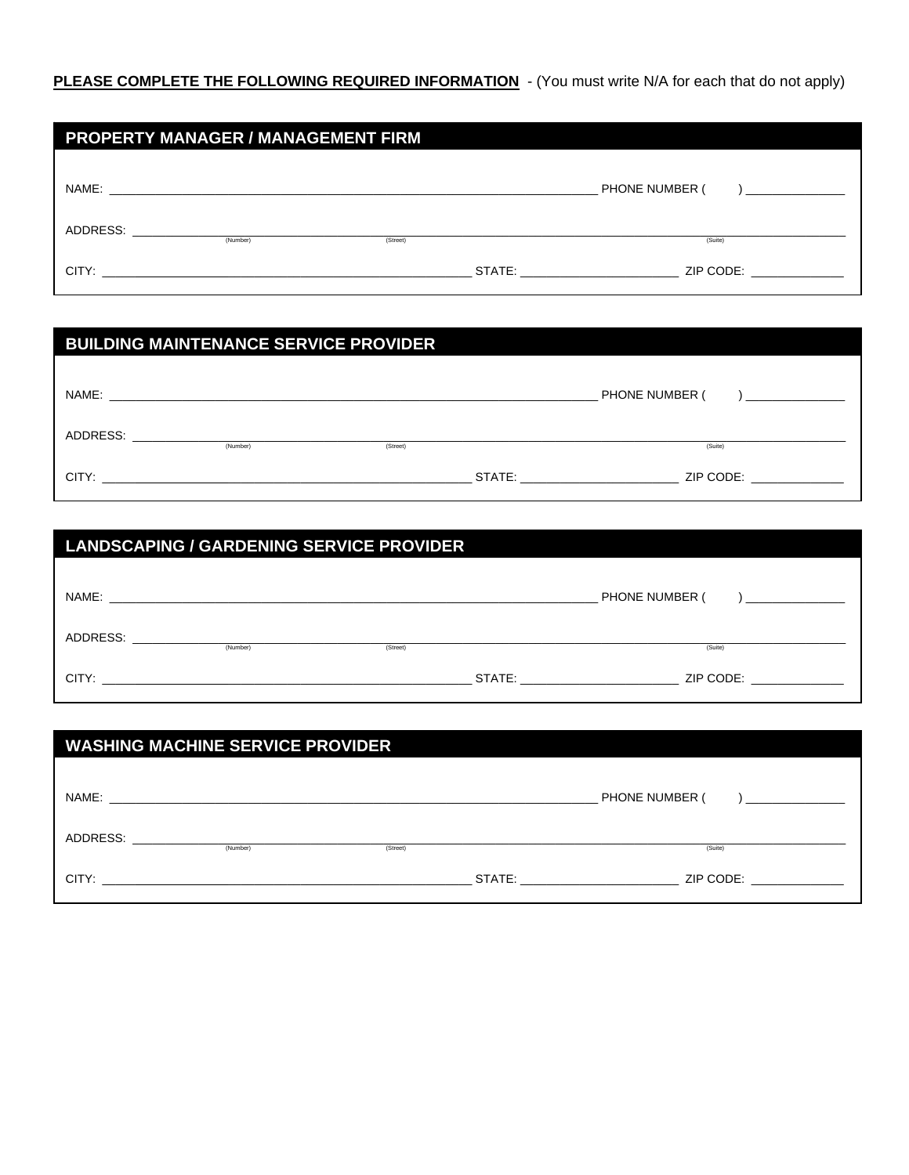## PLEASE COMPLETE THE FOLLOWING REQUIRED INFORMATION - (You must write N/A for each that do not apply)

| <b>PROPERTY MANAGER / MANAGEMENT FIRM</b> |                                                           |          |  |                                                                                                                                                                                                                                |
|-------------------------------------------|-----------------------------------------------------------|----------|--|--------------------------------------------------------------------------------------------------------------------------------------------------------------------------------------------------------------------------------|
|                                           |                                                           |          |  |                                                                                                                                                                                                                                |
| NAME:                                     | <u> 1999 - Johann Barn, fransk politik (d. 1989)</u>      |          |  | PHONE NUMBER (<br>$\mathbf{I}$ and the contract of $\mathbf{I}$                                                                                                                                                                |
| ADDRESS:                                  |                                                           |          |  |                                                                                                                                                                                                                                |
|                                           | (Number)                                                  | (Street) |  | (Suite)                                                                                                                                                                                                                        |
| CITY:                                     | <u> 1989 - John Stone, Amerikaansk politiker (* 1918)</u> |          |  | STATE: and the state of the state of the state of the state of the state of the state of the state of the state of the state of the state of the state of the state of the state of the state of the state of the state of the |

| <b>BUILDING MAINTENANCE SERVICE PROVIDER</b> |                                                           |          |        |                                                     |
|----------------------------------------------|-----------------------------------------------------------|----------|--------|-----------------------------------------------------|
|                                              |                                                           |          |        |                                                     |
| NAME:                                        | <u> 1990 - Jan Barbarat, manazarta bashkar (h. 1982).</u> |          |        | PHONE NUMBER (<br>and the company of the company of |
| ADDRESS:                                     |                                                           |          |        |                                                     |
|                                              | (Number)                                                  | (Street) |        | (Suite)                                             |
| CITY:                                        |                                                           |          | STATE: | ZIP CODE:                                           |

| <b>LANDSCAPING / GARDENING SERVICE PROVIDER</b> |                                                                                                                                  |          |                                                                                                                                                                                                                                                         |
|-------------------------------------------------|----------------------------------------------------------------------------------------------------------------------------------|----------|---------------------------------------------------------------------------------------------------------------------------------------------------------------------------------------------------------------------------------------------------------|
|                                                 |                                                                                                                                  |          | PHONE NUMBER (<br><u> 1990 - Johann Barn, mars et al.</u>                                                                                                                                                                                               |
| ADDRESS:                                        | <u> 1980 - Antonio Alemania, prima postala de la provincia de la provincia de la provincia de la provincia de la</u><br>(Number) | (Street) | (Suite)                                                                                                                                                                                                                                                 |
| CITY:                                           |                                                                                                                                  |          | STATE: and the state of the state of the state of the state of the state of the state of the state of the state of the state of the state of the state of the state of the state of the state of the state of the state of the<br>ZIP CODE: A ANNO 2009 |

| <b>WASHING MACHINE SERVICE PROVIDER</b> |                                                      |          |  |                                                                                                                                                                                                                                                         |
|-----------------------------------------|------------------------------------------------------|----------|--|---------------------------------------------------------------------------------------------------------------------------------------------------------------------------------------------------------------------------------------------------------|
|                                         |                                                      |          |  |                                                                                                                                                                                                                                                         |
| NAME:                                   | <u> 1999 - Jan Barnett, fransk politik (d. 1989)</u> |          |  | PHONE NUMBER (                                                                                                                                                                                                                                          |
| ADDRESS:                                |                                                      |          |  |                                                                                                                                                                                                                                                         |
|                                         | (Number)                                             | (Street) |  | (Suite)                                                                                                                                                                                                                                                 |
|                                         |                                                      |          |  | STATE: the contract of the contract of the contract of the contract of the contract of the contract of the contract of the contract of the contract of the contract of the contract of the contract of the contract of the con<br>ZIP CODE: A ANNO 2009 |
|                                         |                                                      |          |  |                                                                                                                                                                                                                                                         |